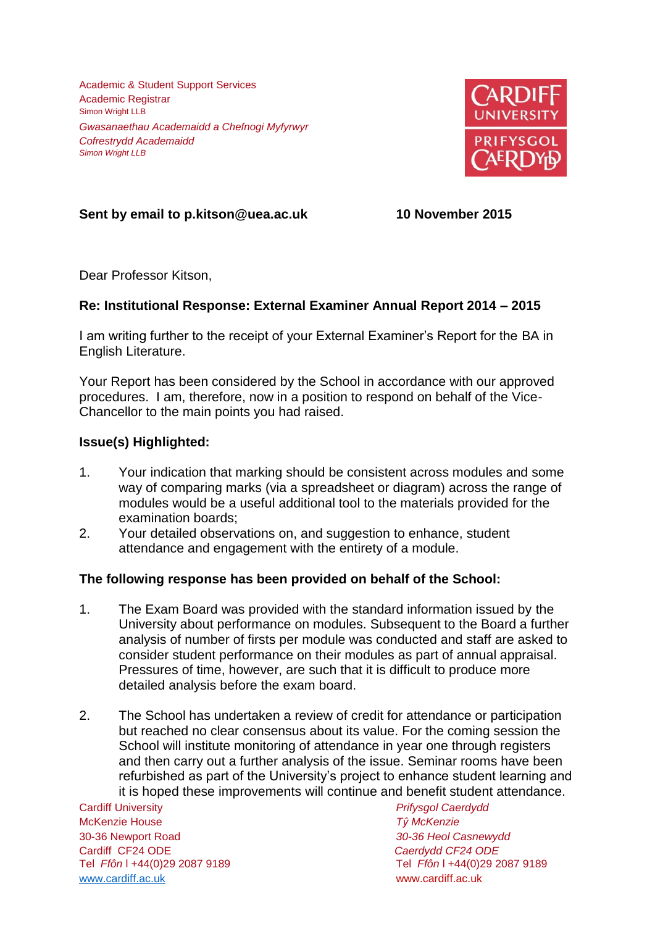Academic & Student Support Services Academic Registrar Simon Wright LLB *Gwasanaethau Academaidd a Chefnogi Myfyrwyr Cofrestrydd Academaidd Simon Wright LLB*



# **Sent by email to p.kitson@uea.ac.uk 10 November 2015**

Dear Professor Kitson,

## **Re: Institutional Response: External Examiner Annual Report 2014 – 2015**

I am writing further to the receipt of your External Examiner's Report for the BA in English Literature.

Your Report has been considered by the School in accordance with our approved procedures. I am, therefore, now in a position to respond on behalf of the Vice-Chancellor to the main points you had raised.

### **Issue(s) Highlighted:**

- 1. Your indication that marking should be consistent across modules and some way of comparing marks (via a spreadsheet or diagram) across the range of modules would be a useful additional tool to the materials provided for the examination boards;
- 2. Your detailed observations on, and suggestion to enhance, student attendance and engagement with the entirety of a module.

#### **The following response has been provided on behalf of the School:**

- 1. The Exam Board was provided with the standard information issued by the University about performance on modules. Subsequent to the Board a further analysis of number of firsts per module was conducted and staff are asked to consider student performance on their modules as part of annual appraisal. Pressures of time, however, are such that it is difficult to produce more detailed analysis before the exam board.
- 2. The School has undertaken a review of credit for attendance or participation but reached no clear consensus about its value. For the coming session the School will institute monitoring of attendance in year one through registers and then carry out a further analysis of the issue. Seminar rooms have been refurbished as part of the University's project to enhance student learning and it is hoped these improvements will continue and benefit student attendance.

Cardiff University *Prifysgol Caerdydd* McKenzie House *Tŷ McKenzie* 30-36 Newport Road *30-36 Heol Casnewydd* Cardiff CF24 ODE *Caerdydd CF24 ODE* [www.cardiff.ac.uk](http://www.cardiff.ac.uk/) www.cardiff.ac.uk

Tel *Ffôn* l +44(0)29 2087 9189 Tel *Ffôn* l +44(0)29 2087 9189